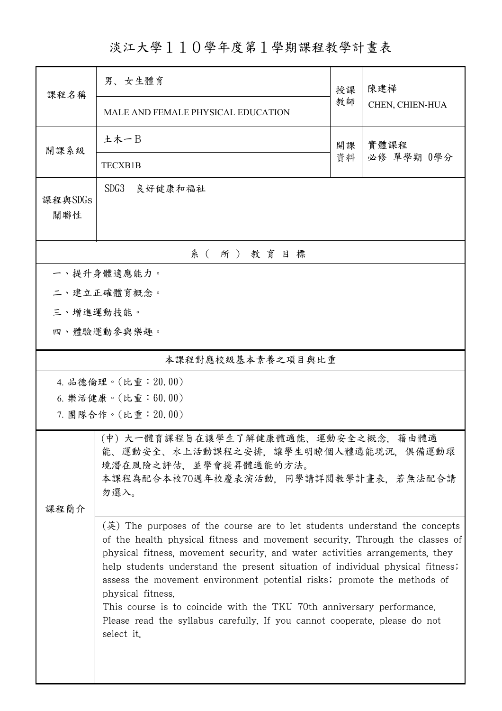淡江大學110學年度第1學期課程教學計畫表

| 課程名稱                                                                                                                                                            | 男、女生體育                                                                                                                                                                                                                                                                                                                                                                                                                                                                                                                                                                                                          |    | 陳建樺                |  |  |  |  |
|-----------------------------------------------------------------------------------------------------------------------------------------------------------------|-----------------------------------------------------------------------------------------------------------------------------------------------------------------------------------------------------------------------------------------------------------------------------------------------------------------------------------------------------------------------------------------------------------------------------------------------------------------------------------------------------------------------------------------------------------------------------------------------------------------|----|--------------------|--|--|--|--|
|                                                                                                                                                                 | MALE AND FEMALE PHYSICAL EDUCATION                                                                                                                                                                                                                                                                                                                                                                                                                                                                                                                                                                              | 教師 | CHEN, CHIEN-HUA    |  |  |  |  |
| 開課系級                                                                                                                                                            | 土木一B                                                                                                                                                                                                                                                                                                                                                                                                                                                                                                                                                                                                            | 開課 | 實體課程<br>必修 單學期 0學分 |  |  |  |  |
|                                                                                                                                                                 | <b>TECXB1B</b>                                                                                                                                                                                                                                                                                                                                                                                                                                                                                                                                                                                                  | 資料 |                    |  |  |  |  |
| 課程與SDGs<br>關聯性                                                                                                                                                  | SDG <sub>3</sub><br>良好健康和福祉                                                                                                                                                                                                                                                                                                                                                                                                                                                                                                                                                                                     |    |                    |  |  |  |  |
| 系(所)教育目標                                                                                                                                                        |                                                                                                                                                                                                                                                                                                                                                                                                                                                                                                                                                                                                                 |    |                    |  |  |  |  |
| 一、提升身體適應能力。                                                                                                                                                     |                                                                                                                                                                                                                                                                                                                                                                                                                                                                                                                                                                                                                 |    |                    |  |  |  |  |
|                                                                                                                                                                 | 二、建立正確體育概念。                                                                                                                                                                                                                                                                                                                                                                                                                                                                                                                                                                                                     |    |                    |  |  |  |  |
| 三、增進運動技能。                                                                                                                                                       |                                                                                                                                                                                                                                                                                                                                                                                                                                                                                                                                                                                                                 |    |                    |  |  |  |  |
|                                                                                                                                                                 | 四、體驗運動參與樂趣。                                                                                                                                                                                                                                                                                                                                                                                                                                                                                                                                                                                                     |    |                    |  |  |  |  |
| 本課程對應校級基本素養之項目與比重                                                                                                                                               |                                                                                                                                                                                                                                                                                                                                                                                                                                                                                                                                                                                                                 |    |                    |  |  |  |  |
|                                                                                                                                                                 | 4. 品德倫理。(比重:20.00)                                                                                                                                                                                                                                                                                                                                                                                                                                                                                                                                                                                              |    |                    |  |  |  |  |
|                                                                                                                                                                 | 6. 樂活健康。(比重: 60.00)                                                                                                                                                                                                                                                                                                                                                                                                                                                                                                                                                                                             |    |                    |  |  |  |  |
|                                                                                                                                                                 | 7. 團隊合作。(比重:20.00)                                                                                                                                                                                                                                                                                                                                                                                                                                                                                                                                                                                              |    |                    |  |  |  |  |
| (中) 大一體育課程旨在讓學生了解健康體適能、運動安全之概念,<br>藉由體適<br>能、運動安全、水上活動課程之安排、讓學生明瞭個人體適能現況、俱備運動環<br>境潛在風險之評估,並學會提昇體適能的方法。<br>本課程為配合本校70週年校慶表演活動,同學請詳閱教學計畫表,若無法配合請<br>勿選入。<br>課程簡介 |                                                                                                                                                                                                                                                                                                                                                                                                                                                                                                                                                                                                                 |    |                    |  |  |  |  |
|                                                                                                                                                                 | $(\frac{\pi}{2})$ The purposes of the course are to let students understand the concepts<br>of the health physical fitness and movement security. Through the classes of<br>physical fitness, movement security, and water activities arrangements, they<br>help students understand the present situation of individual physical fitness;<br>assess the movement environment potential risks; promote the methods of<br>physical fitness.<br>This course is to coincide with the TKU 70th anniversary performance.<br>Please read the syllabus carefully. If you cannot cooperate, please do not<br>select it. |    |                    |  |  |  |  |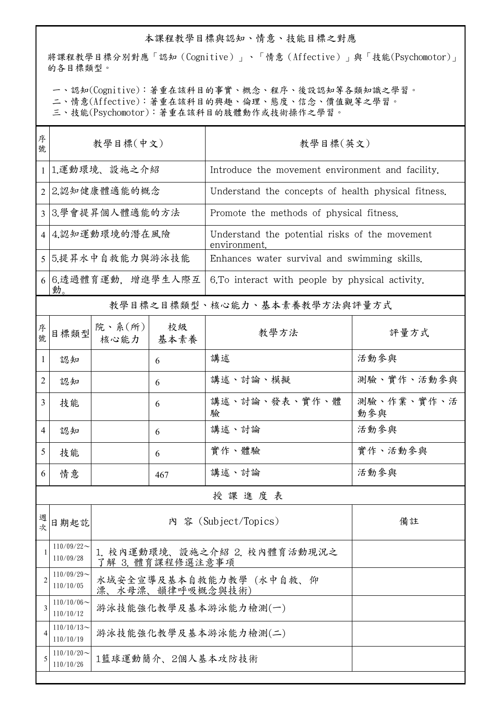## 本課程教學目標與認知、情意、技能目標之對應

將課程教學目標分別對應「認知(Cognitive)」、「情意(Affective)」與「技能(Psychomotor)」 的各目標類型。

一、認知(Cognitive):著重在該科目的事實、概念、程序、後設認知等各類知識之學習。

二、情意(Affective):著重在該科目的興趣、倫理、態度、信念、價值觀等之學習。

三、技能(Psychomotor):著重在該科目的肢體動作或技術操作之學習。

| 序<br>號         | 教學目標(中文)                     |                                                  |              | 教學目標(英文)                                                       |                   |  |  |  |
|----------------|------------------------------|--------------------------------------------------|--------------|----------------------------------------------------------------|-------------------|--|--|--|
|                | 1 1.運動環境、設施之介紹               |                                                  |              | Introduce the movement environment and facility.               |                   |  |  |  |
|                | 2 2.認知健康體適能的概念               |                                                  |              | Understand the concepts of health physical fitness.            |                   |  |  |  |
|                | 3 3.學會提昇個人體適能的方法             |                                                  |              | Promote the methods of physical fitness.                       |                   |  |  |  |
|                | 4 4 認知運動環境的潛在風險              |                                                  |              | Understand the potential risks of the movement<br>environment. |                   |  |  |  |
|                | 5 5.提昇水中自救能力與游泳技能            |                                                  |              | Enhances water survival and swimming skills.                   |                   |  |  |  |
|                | 6 6.透過體育運動,增進學生人際互<br>動。     |                                                  |              | 6. To interact with people by physical activity.               |                   |  |  |  |
|                | 教學目標之目標類型、核心能力、基本素養教學方法與評量方式 |                                                  |              |                                                                |                   |  |  |  |
| 序號             | 目標類型                         | 院、系 $(\hbox{\tt m})$<br>核心能力                     | 校級<br>  基本素養 | 教學方法                                                           | 評量方式              |  |  |  |
| $\mathbf{1}$   | 認知                           |                                                  | 6            | 講述                                                             | 活動參與              |  |  |  |
| 2              | 認知                           |                                                  | 6            | 講述、討論、模擬                                                       | 測驗、實作、活動參與        |  |  |  |
| 3              | 技能                           |                                                  | 6            | 講述、討論、發表、實作、體<br>驗                                             | 測驗、作業、實作、活<br>動參與 |  |  |  |
| 4              | 認知                           |                                                  | 6            | 講述、討論                                                          | 活動參與              |  |  |  |
| 5              | 技能                           |                                                  | 6            | 實作、體驗                                                          | 實作、活動參與           |  |  |  |
| 6              | 情意                           |                                                  | 467          | 講述、討論                                                          | 活動參與              |  |  |  |
|                | 授課進度表                        |                                                  |              |                                                                |                   |  |  |  |
| 週次             | 日期起訖                         | 內 容 (Subject/Topics)<br>備註                       |              |                                                                |                   |  |  |  |
| 1              | $110/09/22$ ~<br>110/09/28   | 1. 校內運動環境、設施之介紹 2. 校內體育活動現況之<br>了解 3. 體育課程修選注意事項 |              |                                                                |                   |  |  |  |
| $\overline{c}$ | $110/09/29$ ~<br>110/10/05   | 水域安全宣導及基本自救能力教學(水中自救、仰<br>漂、水母漂、韻律呼吸概念與技術)       |              |                                                                |                   |  |  |  |
| 3              | $110/10/06$ ~<br>110/10/12   | 游泳技能強化教學及基本游泳能力檢測(一)                             |              |                                                                |                   |  |  |  |
| 4              | $110/10/13$ ~<br>110/10/19   | 游泳技能強化教學及基本游泳能力檢測(二)                             |              |                                                                |                   |  |  |  |
|                | $110/10/20$ ~<br>110/10/26   | 1籃球運動簡介、2個人基本攻防技術                                |              |                                                                |                   |  |  |  |